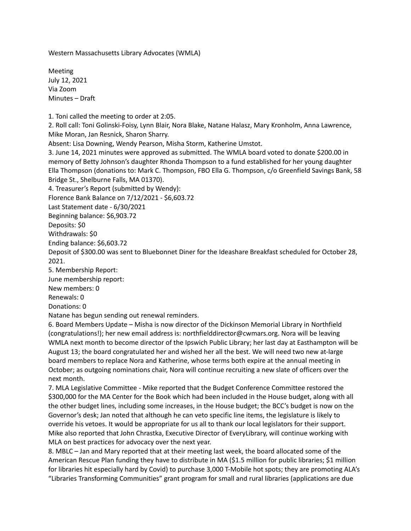Western Massachusetts Library Advocates (WMLA)

Meeting July 12, 2021 Via Zoom Minutes – Draft

1. Toni called the meeting to order at 2:05.

2. Roll call: Toni Golinski-Foisy, Lynn Blair, Nora Blake, Natane Halasz, Mary Kronholm, Anna Lawrence, Mike Moran, Jan Resnick, Sharon Sharry.

Absent: Lisa Downing, Wendy Pearson, Misha Storm, Katherine Umstot.

3. June 14, 2021 minutes were approved as submitted. The WMLA board voted to donate \$200.00 in memory of Betty Johnson's daughter Rhonda Thompson to a fund established for her young daughter Ella Thompson (donations to: Mark C. Thompson, FBO Ella G. Thompson, c/o Greenfield Savings Bank, 58 Bridge St., Shelburne Falls, MA 01370).

4. Treasurer's Report (submitted by Wendy):

Florence Bank Balance on 7/12/2021 - \$6,603.72

Last Statement date - 6/30/2021

Beginning balance: \$6,903.72

Deposits: \$0

Withdrawals: \$0

Ending balance: \$6,603.72

Deposit of \$300.00 was sent to Bluebonnet Diner for the Ideashare Breakfast scheduled for October 28, 2021.

5. Membership Report:

June membership report:

New members: 0

Renewals: 0

Donations: 0

Natane has begun sending out renewal reminders.

6. Board Members Update – Misha is now director of the Dickinson Memorial Library in Northfield (congratulations!); her new email address is: northfielddirector@cwmars.org. Nora will be leaving WMLA next month to become director of the Ipswich Public Library; her last day at Easthampton will be August 13; the board congratulated her and wished her all the best. We will need two new at-large board members to replace Nora and Katherine, whose terms both expire at the annual meeting in October; as outgoing nominations chair, Nora will continue recruiting a new slate of officers over the next month.

7. MLA Legislative Committee - Mike reported that the Budget Conference Committee restored the \$300,000 for the MA Center for the Book which had been included in the House budget, along with all the other budget lines, including some increases, in the House budget; the BCC's budget is now on the Governor's desk; Jan noted that although he can veto specific line items, the legislature is likely to override his vetoes. It would be appropriate for us all to thank our local legislators for their support. Mike also reported that John Chrastka, Executive Director of EveryLibrary, will continue working with MLA on best practices for advocacy over the next year.

8. MBLC – Jan and Mary reported that at their meeting last week, the board allocated some of the American Rescue Plan funding they have to distribute in MA (\$1.5 million for public libraries; \$1 million for libraries hit especially hard by Covid) to purchase 3,000 T-Mobile hot spots; they are promoting ALA's "Libraries Transforming Communities" grant program for small and rural libraries (applications are due